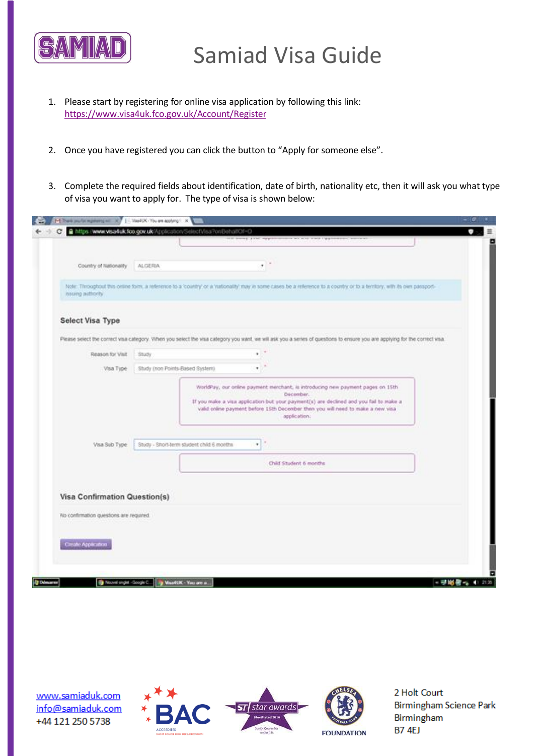

- 1. Please start by registering for online visa application by following this link: <https://www.visa4uk.fco.gov.uk/Account/Register>
- 2. Once you have registered you can click the button to "Apply for someone else".
- 3. Complete the required fields about identification, date of birth, nationality etc, then it will ask you what type of visa you want to apply for. The type of visa is shown below:

|                                         | https://www.visa4uk.fco.gov.uk/Application/SelectVisa?onBehalfOf=O                                                                                                                                                                           |                  |
|-----------------------------------------|----------------------------------------------------------------------------------------------------------------------------------------------------------------------------------------------------------------------------------------------|------------------|
|                                         |                                                                                                                                                                                                                                              |                  |
| Country of Nationality                  | ALGERIA<br>٠                                                                                                                                                                                                                                 |                  |
| noung authority                         | Note: Throughout this online foirs, a reference to a 'country' or a 'nationality' may in some cases be a reference to a country or to a territory, with its own passport-                                                                    |                  |
| Select Visa Type                        |                                                                                                                                                                                                                                              |                  |
|                                         | Please select the correct visa category. Viften you select the visa category you want, we will ask you a series of questions to ensure you are applying for the correct visa.                                                                |                  |
| Reason for Visit                        | Study.<br>٠                                                                                                                                                                                                                                  |                  |
| Visa Type                               | Study (non Points-Based System)<br>٠                                                                                                                                                                                                         |                  |
| Visa Sub Type                           | If you make a visa application but your payment(s) are declined and you fail to make a<br>valid online payment before 15th December then you will need to make a new visa-<br>application:<br>Study - Short-term student child 6 months<br>٠ |                  |
|                                         | Child Student 6 months                                                                                                                                                                                                                       |                  |
| <b>Visa Confirmation Question(s)</b>    |                                                                                                                                                                                                                                              |                  |
| No confirmation questions are required. |                                                                                                                                                                                                                                              |                  |
| Create Application                      |                                                                                                                                                                                                                                              |                  |
|                                         |                                                                                                                                                                                                                                              |                  |
|                                         | Discussion of - Google C.   J.   Maar CLIX - Yau are all                                                                                                                                                                                     | - 学M6者 - 41 2135 |

www.samiaduk.com info@samiaduk.com +44 121 250 5738





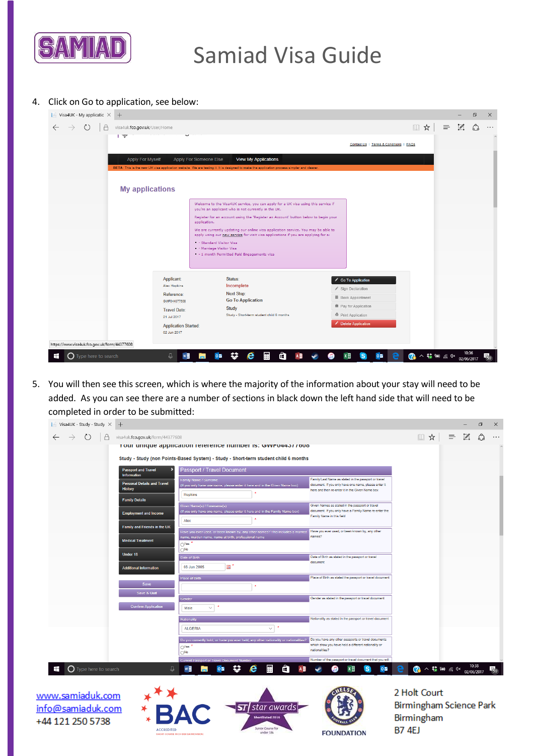

# Samiad Visa Guide

# 4. Click on Go to application, see below:

| Visa4UK - My applicatic $\times$<br>$\pm$                                                |                                                                                                                                                                                                    |                                                                                              |          |                             | O | $\times$ |
|------------------------------------------------------------------------------------------|----------------------------------------------------------------------------------------------------------------------------------------------------------------------------------------------------|----------------------------------------------------------------------------------------------|----------|-----------------------------|---|----------|
| $\circ$<br>visa4uk.fco.gov.uk/User/Home<br>$\leftarrow$<br>$\rightarrow$<br>$\mathbb{F}$ |                                                                                                                                                                                                    | □☆                                                                                           | $\equiv$ | $\mathscr{S}_{\mathscr{S}}$ | ధ | $\cdots$ |
|                                                                                          |                                                                                                                                                                                                    | Contact Us   Terms & Conditions   FAQs                                                       |          |                             |   |          |
| Apply For Myself                                                                         | Apply For Someone Else<br><b>View My Applications</b><br>BETA: This is the new UK visa application website. We are testing it. It is designed to make the application process simpler and clearer. |                                                                                              |          |                             |   |          |
|                                                                                          |                                                                                                                                                                                                    |                                                                                              |          |                             |   |          |
| <b>My applications</b>                                                                   |                                                                                                                                                                                                    |                                                                                              |          |                             |   |          |
|                                                                                          | Welcome to the Visa4UK service, you can apply for a UK visa using this service if<br>you're an applicant who is not currently in the UK.                                                           |                                                                                              |          |                             |   |          |
|                                                                                          | Register for an account using the 'Register an Account' button below to begin your<br>application.                                                                                                 |                                                                                              |          |                             |   |          |
|                                                                                          | We are currently updating our online visa application service. You may be able to<br>apply using our new service for visit visa applications if you are applying for a:<br>- Standard Visitor Visa |                                                                                              |          |                             |   |          |
|                                                                                          | - - Marriage Visitor Visa<br>- 1 month Permitted Paid Engagements visa                                                                                                                             |                                                                                              |          |                             |   |          |
|                                                                                          |                                                                                                                                                                                                    |                                                                                              |          |                             |   |          |
| Applicant:<br>Alex Hopkins                                                               | Status:<br>Incomplete                                                                                                                                                                              | Go To Application                                                                            |          |                             |   |          |
| Reference:<br>GWF044377608                                                               | <b>Next Step:</b><br><b>Go To Application</b>                                                                                                                                                      | Sign Declaration<br>■ Book Appointment                                                       |          |                             |   |          |
| <b>Travel Date:</b><br>21 Jul 2017                                                       | <b>Study</b><br>Study - Short-term student child 6 months                                                                                                                                          | Pay for Application<br>● Print Application                                                   |          |                             |   |          |
| <b>Application Started:</b>                                                              |                                                                                                                                                                                                    | Delete Application                                                                           |          |                             |   |          |
| 02 Jun 2017<br>https://www.visa4uk.fco.gov.uk/form/44377608                              |                                                                                                                                                                                                    |                                                                                              |          |                             |   |          |
| Ŧ<br>$\bigcirc$ Type here to search                                                      | 辧<br>ê<br>$A \equiv$<br>e<br>Œ<br>$0\overline{z}$                                                                                                                                                  | 2 ∧ $\frac{10.50}{6}$ ∞ $\frac{1}{2}$ € $\frac{10.50}{22/06/2017}$<br>$\circ \triangleright$ |          |                             |   |          |

5. You will then see this screen, which is where the majority of the information about your stay will need to be added. As you can see there are a number of sections in black down the left hand side that will need to be completed in order to be submitted:

| Visa4UK - Study - Study $\times$ +                           |                                                                                                                                                                                                                                                                         |              |                           | ð  | $\times$ |
|--------------------------------------------------------------|-------------------------------------------------------------------------------------------------------------------------------------------------------------------------------------------------------------------------------------------------------------------------|--------------|---------------------------|----|----------|
| $\rightarrow$<br>$\circ$<br>visa4uk.fco.qov.uk/form/44377608 |                                                                                                                                                                                                                                                                         | □☆           | $\mathscr{D}$<br>$\equiv$ | ది | .        |
|                                                              | Tour unique application reference number is: GWF044511000                                                                                                                                                                                                               |              |                           |    |          |
|                                                              | Study - Study (non Points-Based System) - Study - Short-term student child 6 months                                                                                                                                                                                     |              |                           |    |          |
| <b>Passport and Travel</b><br><b>Information</b>             | <b>Passport / Travel Document</b>                                                                                                                                                                                                                                       |              |                           |    |          |
| <b>Personal Details and Travel</b><br><b>History</b>         | Family/Last Name as stated in the passport or travel<br>Family Name / Surname<br>document. If you only have one name, please enter it<br>(If you only have one name, please enter it here and in the Given Name box)<br>here and then re-enter it in the Given Name box |              |                           |    |          |
| <b>Family Details</b>                                        | <b>Hopkins</b>                                                                                                                                                                                                                                                          |              |                           |    |          |
| <b>Employment and Income</b>                                 | Given Names as stated in the passport or travel<br>Given Name(s) / Forename(s)<br>document. If you only have a Family Name re-enter the<br>(If you only have one name, please enter it here and in the Family Name box)<br>Family Name in this field<br>Alex            |              |                           |    |          |
| Family and Friends in the UK                                 | Have you ever used, or been known by, any other<br>Have you ever used, or been known by, any other names? This includes a married                                                                                                                                       |              |                           |    |          |
| <b>Medical Treatment</b>                                     | names?<br>name, maiden name, name at birth, professional name<br>O <sup>Yes</sup>                                                                                                                                                                                       |              |                           |    |          |
| <b>Under 18</b>                                              | $\bigcirc^{\mathsf{No}}$<br>Date of Birth<br>Date of Birth as stated in the passport or travel                                                                                                                                                                          |              |                           |    |          |
| <b>Additional Information</b>                                | document<br>e,<br>08 Jun 2005                                                                                                                                                                                                                                           |              |                           |    |          |
| <b>Save</b>                                                  | <b>Place of Birth</b><br>Place of Birth as stated the passport or travel document                                                                                                                                                                                       |              |                           |    |          |
| Save & Quit                                                  |                                                                                                                                                                                                                                                                         |              |                           |    |          |
| <b>Confirm Application</b>                                   | Gender<br>Gender as stated in the passport or travel document<br>Male<br>$\checkmark$                                                                                                                                                                                   |              |                           |    |          |
|                                                              | Nationality as stated in the passport or travel document<br>Nationality                                                                                                                                                                                                 |              |                           |    |          |
|                                                              | <b>ALGERIA</b><br>$\checkmark$                                                                                                                                                                                                                                          |              |                           |    |          |
|                                                              | Do you have any other passports or travel documents<br>Do you currently hold, or have you ever held, any other nationality or nationalities?<br>which show you have held a different nationality or<br>$\bigcirc$ Yes<br>nationalities?<br>$\bigcirc$ No                |              |                           |    |          |
|                                                              | Number of the passport or travel document that you will<br><b>Current Passport or Travel Document Number</b>                                                                                                                                                            |              |                           |    |          |
| Ŧ<br>$\bigcirc$ Type here to search                          | ະ<br>e<br>A <b>B</b><br>$0\,$<br>靈<br>Ő<br>$x \equiv$<br>$0\,Z$<br>J.<br>w<br><sub>S</sub><br>Œ<br>m.<br>$\blacktriangleright$                                                                                                                                          | e            |                           |    | 围        |
| ww.samiaduk.com                                              |                                                                                                                                                                                                                                                                         | 2 Holt Court |                           |    |          |

 $\underline{W}$ info@samiaduk.com +44 121 250 5738







Birmingham Science Park Birmingham **B7 4EJ**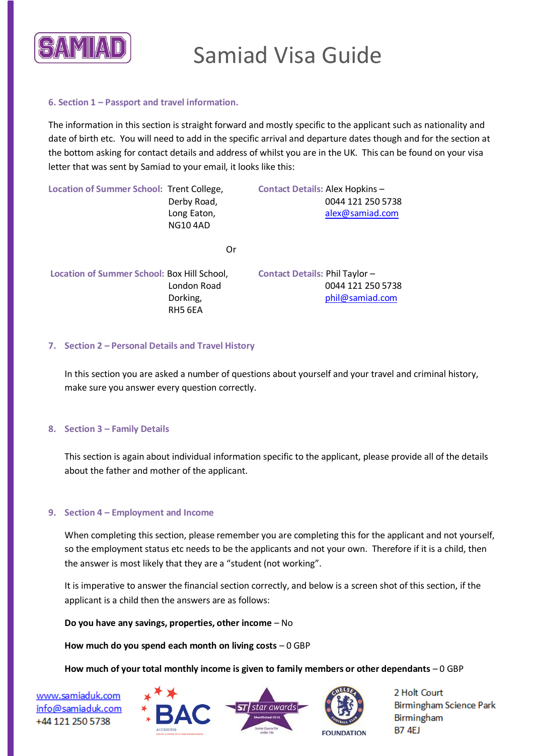

### **6. Section 1 – Passport and travel information.**

The information in this section is straight forward and mostly specific to the applicant such as nationality and date of birth etc. You will need to add in the specific arrival and departure dates though and for the section at the bottom asking for contact details and address of whilst you are in the UK. This can be found on your visa letter that was sent by Samiad to your email, it looks like this:

Location of Summer School: Trent College, **Contact Details: Alex Hopkins –**  Derby Road, 0044 121 250 5738 Long Eaton, [alex@samiad.com](mailto:alex@samiad.com) NG10 4AD Or

 **Location of Summer School:** Box Hill School, **Contact Details:** Phil Taylor – RH5 6EA

 London Road 0044 121 250 5738 Dorking, [phil@samiad.com](mailto:phil@samiad.com)

### **7. Section 2 – Personal Details and Travel History**

In this section you are asked a number of questions about yourself and your travel and criminal history, make sure you answer every question correctly.

#### **8. Section 3 – Family Details**

This section is again about individual information specific to the applicant, please provide all of the details about the father and mother of the applicant.

#### **9. Section 4 – Employment and Income**

When completing this section, please remember you are completing this for the applicant and not yourself, so the employment status etc needs to be the applicants and not your own. Therefore if it is a child, then the answer is most likely that they are a "student (not working".

It is imperative to answer the financial section correctly, and below is a screen shot of this section, if the applicant is a child then the answers are as follows:

**Do you have any savings, properties, other income** – No

**How much do you spend each month on living costs** – 0 GBP

**How much of your total monthly income is given to family members or other dependants** – 0 GBP

www.samiaduk.com info@samiaduk.com +44 121 250 5738





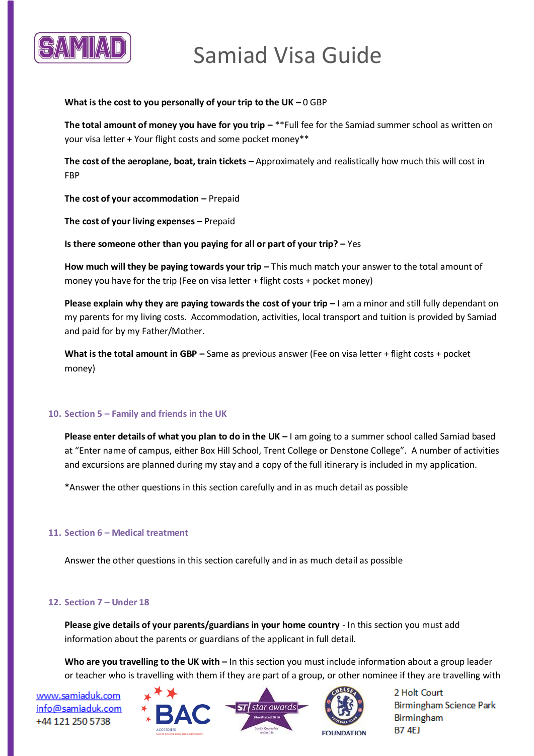

# Samiad Visa Guide

#### **What is the cost to you personally of your trip to the UK –** 0 GBP

**The total amount of money you have for you trip**  $-$  **\*\*Full fee for the Samiad summer school as written on** your visa letter + Your flight costs and some pocket money\*\*

**The cost of the aeroplane, boat, train tickets –** Approximately and realistically how much this will cost in FBP

**The cost of your accommodation –** Prepaid

**The cost of your living expenses –** Prepaid

**Is there someone other than you paying for all or part of your trip? – Yes** 

**How much will they be paying towards your trip – This much match your answer to the total amount of** money you have for the trip (Fee on visa letter + flight costs + pocket money)

**Please explain why they are paying towards the cost of your trip**  $-1$  **am a minor and still fully dependant on** my parents for my living costs. Accommodation, activities, local transport and tuition is provided by Samiad and paid for by my Father/Mother.

**What is the total amount in GBP –** Same as previous answer (Fee on visa letter + flight costs + pocket money)

# **10. Section 5 – Family and friends in the UK**

**Please enter details of what you plan to do in the UK –** I am going to a summer school called Samiad based at "Enter name of campus, either Box Hill School, Trent College or Denstone College". A number of activities and excursions are planned during my stay and a copy of the full itinerary is included in my application.

\*Answer the other questions in this section carefully and in as much detail as possible

#### **11. Section 6 – Medical treatment**

Answer the other questions in this section carefully and in as much detail as possible

#### **12. Section 7 – Under 18**

**Please give details of your parents/guardians in your home country** - In this section you must add information about the parents or guardians of the applicant in full detail.

Who are you travelling to the UK with – In this section you must include information about a group leader or teacher who is travelling with them if they are part of a group, or other nominee if they are travelling with

www.samiaduk.com info@samiaduk.com +44 121 250 5738